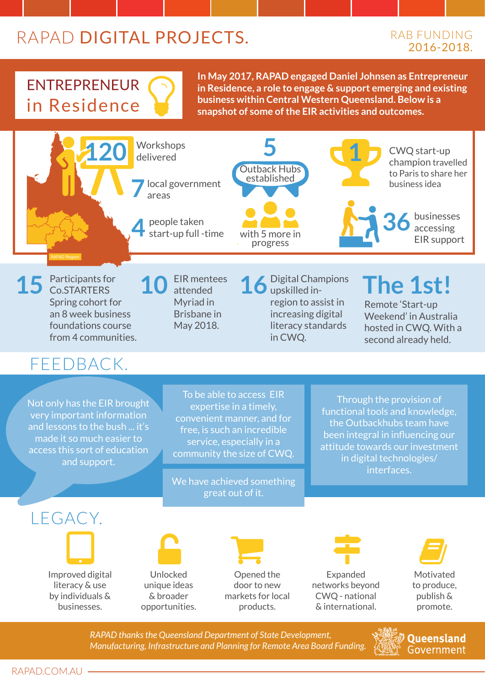## RAPAD DIGITAL PROJECTS.

#### RAB Funding 2016-2018.

## Entrepreneur in Residence

**In May 2017, RAPAD engaged Daniel Johnsen as Entrepreneur in Residence, a role to engage & support emerging and existing business within Central Western Queensland. Below is a snapshot of some of the EIR activities and outcomes.**



*RAPAD thanks the Queensland Department of State Development, Manufacturing, Infrastructure and Planning for Remote Area Board Funding.* 

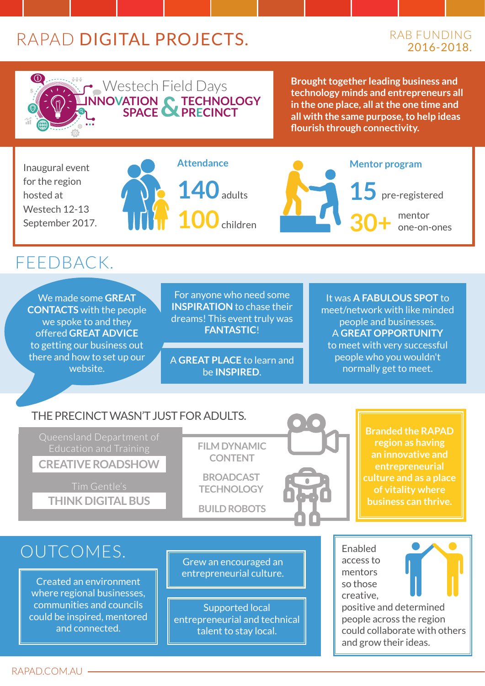### RAPAD DIGITAL PROJECTS.

#### RAB FUNDING 2016-2018.



Westech Field Days **Brought together leading business and technology minds and entrepreneurs all in the one place, all at the one time and all with the same purpose, to help ideas flourish through connectivity.** 

Inaugural event for the region hosted at Westech 12-13 September 2017.

# **140**adults **100**children

**SPACE PRECINCT**

**Attendance**



#### FFFDBACK.

We made some **GREAT CONTACTS** with the people we spoke to and they offered **great advice** to getting our business out there and how to set up our website.

For anyone who need some **INSPIRATION** to chase their dreams! This event truly was **fantastic**!

A **great place** to learn and be **inspired**.

It was **a fabulous spot** to meet/network with like minded people and businesses. A **great opportunity**  to meet with very successful people who you wouldn't normally get to meet.

#### The precinct wasn't just for adults.

Queensland Department of **Creative Roadshow**

**Think Digital Bus**

**FILM DYNAMIC CONTENT** 

**broadcast technology**

**build robots**



**Branded the RAPAD region as having an innovative and entrepreneurial culture and as a place of vitality where business can thrive.**

#### OUTCOMES.

Created an environment where regional businesses, communities and councils could be inspired, mentored and connected.

Grew an encouraged an entrepreneurial culture.

Supported local entrepreneurial and technical talent to stay local.

Enabled access to mentors so those creative,



positive and determined people across the region could collaborate with others and grow their ideas.